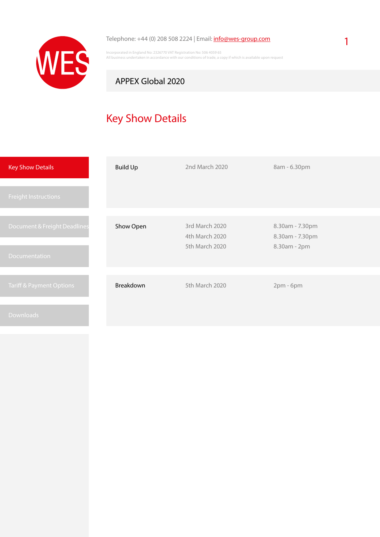

#### Telephone: +44 (0) 208 508 2224 | Email: *[info@wes-group.com](mailto:info%40wes-group.com?subject=APPEX%20Global%202020%20-%20Logistic%20Services)*

Incorporated in England No: 2326770 VAT Registration No: 506 4059 65 All business undertaken in accordance with our conditions of trade, a copy if which is available upon request

## APPEX Global 2020

# Key Show Details

| <b>Key Show Details</b>                       | <b>Build Up</b> | 2nd March 2020                                     | 8am - 6.30pm                                       |
|-----------------------------------------------|-----------------|----------------------------------------------------|----------------------------------------------------|
| <b>Freight Instructions</b>                   |                 |                                                    |                                                    |
| Document & Freight Deadlines<br>Documentation | Show Open       | 3rd March 2020<br>4th March 2020<br>5th March 2020 | 8.30am - 7.30pm<br>8.30am - 7.30pm<br>8.30am - 2pm |
| <b>Tariff &amp; Payment Options</b>           | Breakdown       | 5th March 2020                                     | $2pm - 6pm$                                        |
| Downloads                                     |                 |                                                    |                                                    |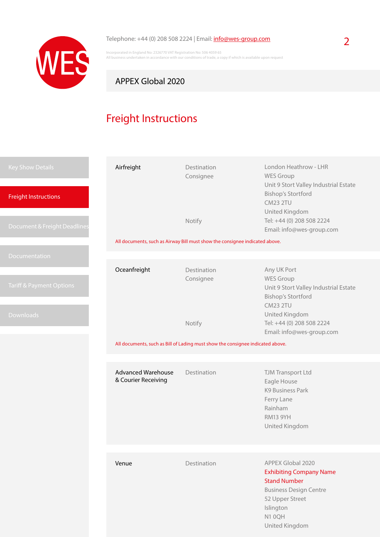

#### Telephone: +44 (0) 208 508 2224 | Email:  $\frac{info@wes-group.com}{1}$  $\frac{info@wes-group.com}{1}$  $\frac{info@wes-group.com}{1}$

Incorporated in England No: 2326770 VAT Registration No: 506 4059 65 All business undertaken in accordance with our conditions of trade, a copy if which is available upon request

### APPEX Global 2020

# Freight Instructions

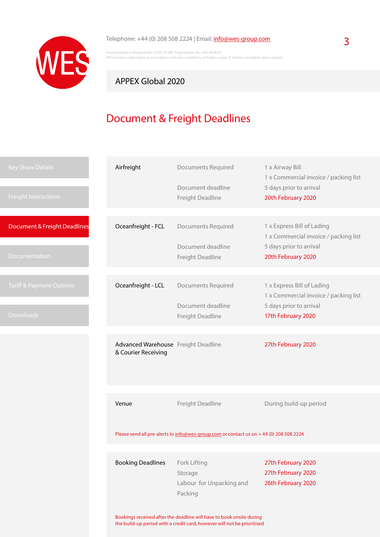

## Telephone: +44 (0) 208 508 2224 | Email: **[info@wes-group.com](mailto:info%40wes-group.com?subject=APPEX%20Global%202020%20-%20Logistic%20Services)** 3

Incorporated in England No: 2326770 VAT Registration No: 506 4059 65 All business undertaken in accordance with our conditions of trade, a copy if which is available upon request

## APPEX Global 2020

# Document & Freight Deadlines

| <b>Key Show Details</b>             | Airfreight                                                                                                                                      | <b>Documents Required</b><br>Document deadline | 1 x Airway Bill<br>1 x Commercial invoice / packing list<br>5 days prior to arrival |  |
|-------------------------------------|-------------------------------------------------------------------------------------------------------------------------------------------------|------------------------------------------------|-------------------------------------------------------------------------------------|--|
| <b>Freight Instructions</b>         |                                                                                                                                                 | Freight Deadline                               | 20th February 2020                                                                  |  |
|                                     |                                                                                                                                                 |                                                |                                                                                     |  |
| Document & Freight Deadlines        | Oceanfreight - FCL                                                                                                                              | <b>Documents Required</b>                      | 1 x Express Bill of Lading<br>1 x Commercial invoice / packing list                 |  |
| Documentation                       |                                                                                                                                                 | Document deadline<br>Freight Deadline          | 5 days prior to arrival<br>20th February 2020                                       |  |
|                                     |                                                                                                                                                 |                                                |                                                                                     |  |
| <b>Tariff &amp; Payment Options</b> | Oceanfreight - LCL                                                                                                                              | <b>Documents Required</b>                      | 1 x Express Bill of Lading<br>1 x Commercial invoice / packing list                 |  |
|                                     |                                                                                                                                                 | Document deadline                              | 5 days prior to arrival                                                             |  |
| <b>Downloads</b>                    |                                                                                                                                                 | Freight Deadline                               | 17th February 2020                                                                  |  |
|                                     |                                                                                                                                                 |                                                |                                                                                     |  |
|                                     | Advanced Warehouse Freight Deadline<br>& Courier Receiving                                                                                      |                                                | 27th February 2020                                                                  |  |
|                                     |                                                                                                                                                 |                                                |                                                                                     |  |
|                                     | Venue                                                                                                                                           | Freight Deadline                               | During build-up period                                                              |  |
|                                     | Please send all pre-alerts to info@wes-group.com or contact us on +44 (0) 208 508 2224                                                          |                                                |                                                                                     |  |
|                                     |                                                                                                                                                 |                                                |                                                                                     |  |
|                                     | <b>Booking Deadlines</b>                                                                                                                        | Fork Lifting                                   | 27th February 2020                                                                  |  |
|                                     |                                                                                                                                                 | Storage                                        | 27th February 2020                                                                  |  |
|                                     |                                                                                                                                                 | Labour for Unpacking and<br>Packing            | 26th February 2020                                                                  |  |
|                                     |                                                                                                                                                 |                                                |                                                                                     |  |
|                                     | Bookings received after the deadline will have to book onsite during<br>the build-up period with a credit card, however will not be prioritised |                                                |                                                                                     |  |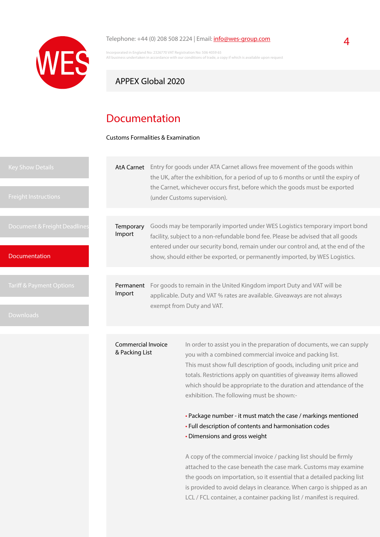

#### Telephone:  $+44$  (0) 208 508 2224 | Email:  $info@wes-group.com$  $info@wes-group.com$  $info@wes-group.com$ </u>

Incorporated in England No: 2326770 VAT Registration No: 506 4059 65 .<br>Iss undertaken in accordance with our conditions of trade, a copy if which is available upon request

### APPEX Global 2020

## Documentation

Customs Formalities & Examination

| Key Show Details<br><b>Freight Instructions</b> | AtA Carnet                           | Entry for goods under ATA Carnet allows free movement of the goods within<br>the UK, after the exhibition, for a period of up to 6 months or until the expiry of<br>the Carnet, whichever occurs first, before which the goods must be exported<br>(under Customs supervision). |  |
|-------------------------------------------------|--------------------------------------|---------------------------------------------------------------------------------------------------------------------------------------------------------------------------------------------------------------------------------------------------------------------------------|--|
|                                                 |                                      |                                                                                                                                                                                                                                                                                 |  |
| Document & Freight Deadlines                    | Temporary<br>Import                  | Goods may be temporarily imported under WES Logistics temporary import bond<br>facility, subject to a non-refundable bond fee. Please be advised that all goods                                                                                                                 |  |
| <b>Documentation</b>                            |                                      | entered under our security bond, remain under our control and, at the end of the<br>show, should either be exported, or permanently imported, by WES Logistics.                                                                                                                 |  |
|                                                 |                                      |                                                                                                                                                                                                                                                                                 |  |
| Tariff & Payment Options                        | Permanent<br>Import                  | For goods to remain in the United Kingdom import Duty and VAT will be<br>applicable. Duty and VAT % rates are available. Giveaways are not always                                                                                                                               |  |
| <b>Downloads</b>                                |                                      | exempt from Duty and VAT.                                                                                                                                                                                                                                                       |  |
|                                                 |                                      |                                                                                                                                                                                                                                                                                 |  |
|                                                 | Commercial Invoice<br>& Packing List | In order to assist you in the preparation of documents, we can supply<br>you with a combined commercial invoice and packing list.<br>This must show full description of goods, including unit price and                                                                         |  |

This must show full description of goods, including unit price and totals. Restrictions apply on quantities of giveaway items allowed which should be appropriate to the duration and attendance of the exhibition. The following must be shown:-

• Package number - it must match the case / markings mentioned

- Full description of contents and harmonisation codes
- Dimensions and gross weight

A copy of the commercial invoice / packing list should be firmly attached to the case beneath the case mark. Customs may examine the goods on importation, so it essential that a detailed packing list is provided to avoid delays in clearance. When cargo is shipped as an LCL / FCL container, a container packing list / manifest is required.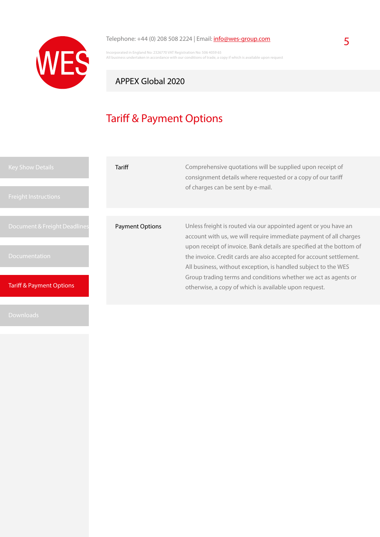

# Telephone: +44 (0) 208 508 2224 | Email:  $\frac{info@wes-group.com}{}$  $\frac{info@wes-group.com}{}$  $\frac{info@wes-group.com}{}$  5

Incorporated in England No: 2326770 VAT Registration No: 506 4059 65 All business undertaken in accordance with our conditions of trade, a copy if which is available upon request

## APPEX Global 2020

# Tariff & Payment Options

| <b>Key Show Details</b><br><b>Freight Instructions</b> | Tariff                 | Comprehensive quotations will be supplied upon receipt of<br>consignment details where requested or a copy of our tariff<br>of charges can be sent by e-mail.                                                                                                                                                                                         |  |
|--------------------------------------------------------|------------------------|-------------------------------------------------------------------------------------------------------------------------------------------------------------------------------------------------------------------------------------------------------------------------------------------------------------------------------------------------------|--|
|                                                        |                        |                                                                                                                                                                                                                                                                                                                                                       |  |
| Document & Freight Deadlines                           | <b>Payment Options</b> | Unless freight is routed via our appointed agent or you have an<br>account with us, we will require immediate payment of all charges<br>upon receipt of invoice. Bank details are specified at the bottom of<br>the invoice. Credit cards are also accepted for account settlement.<br>All business, without exception, is handled subject to the WES |  |
| <b>Documentation</b>                                   |                        |                                                                                                                                                                                                                                                                                                                                                       |  |
| <b>Tariff &amp; Payment Options</b>                    |                        | Group trading terms and conditions whether we act as agents or<br>otherwise, a copy of which is available upon request.                                                                                                                                                                                                                               |  |